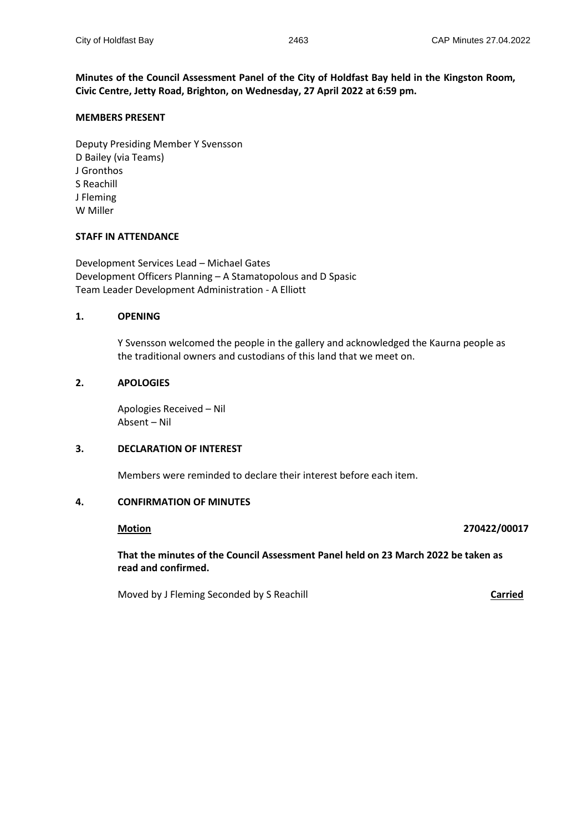**Minutes of the Council Assessment Panel of the City of Holdfast Bay held in the Kingston Room, Civic Centre, Jetty Road, Brighton, on Wednesday, 27 April 2022 at 6:59 pm.**

#### **MEMBERS PRESENT**

Deputy Presiding Member Y Svensson D Bailey (via Teams) J Gronthos S Reachill J Fleming W Miller

#### **STAFF IN ATTENDANCE**

Development Services Lead – Michael Gates Development Officers Planning – A Stamatopolous and D Spasic Team Leader Development Administration - A Elliott

#### **1. OPENING**

Y Svensson welcomed the people in the gallery and acknowledged the Kaurna people as the traditional owners and custodians of this land that we meet on.

# **2. APOLOGIES**

Apologies Received – Nil Absent – Nil

### **3. DECLARATION OF INTEREST**

Members were reminded to declare their interest before each item.

# **4. CONFIRMATION OF MINUTES**

#### **Motion 270422/00017**

**That the minutes of the Council Assessment Panel held on 23 March 2022 be taken as read and confirmed.**

Moved by J Fleming Seconded by S Reachill **Carried**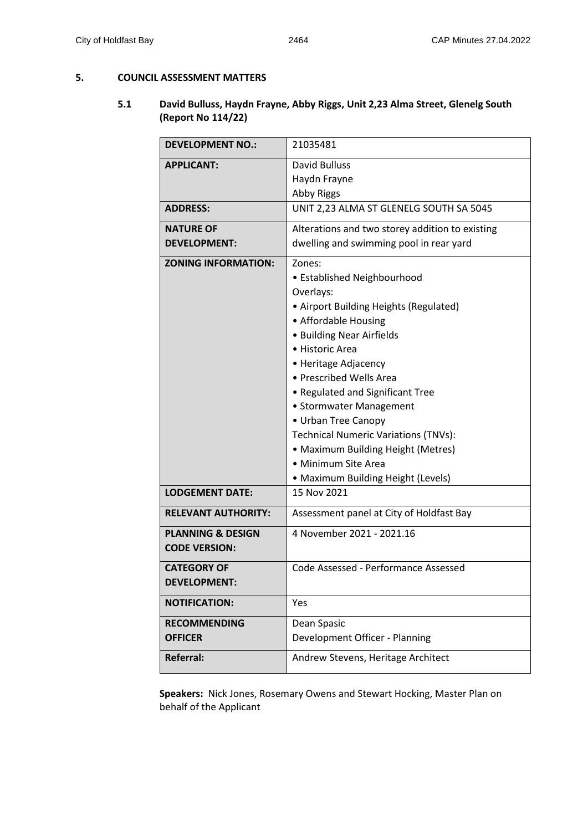#### **5. COUNCIL ASSESSMENT MATTERS**

# **5.1 David Bulluss, Haydn Frayne, Abby Riggs, Unit 2,23 Alma Street, Glenelg South (Report No 114/22)**

| <b>DEVELOPMENT NO.:</b>                              | 21035481                                                                                                                                                                                                                                                                                                                                                                                                                                                        |  |
|------------------------------------------------------|-----------------------------------------------------------------------------------------------------------------------------------------------------------------------------------------------------------------------------------------------------------------------------------------------------------------------------------------------------------------------------------------------------------------------------------------------------------------|--|
| <b>APPLICANT:</b>                                    | David Bulluss<br>Haydn Frayne<br>Abby Riggs                                                                                                                                                                                                                                                                                                                                                                                                                     |  |
| <b>ADDRESS:</b>                                      | UNIT 2,23 ALMA ST GLENELG SOUTH SA 5045                                                                                                                                                                                                                                                                                                                                                                                                                         |  |
| <b>NATURE OF</b><br><b>DEVELOPMENT:</b>              | Alterations and two storey addition to existing<br>dwelling and swimming pool in rear yard                                                                                                                                                                                                                                                                                                                                                                      |  |
| <b>ZONING INFORMATION:</b>                           | Zones:<br>• Established Neighbourhood<br>Overlays:<br>• Airport Building Heights (Regulated)<br>• Affordable Housing<br>• Building Near Airfields<br>· Historic Area<br>• Heritage Adjacency<br>• Prescribed Wells Area<br>• Regulated and Significant Tree<br>• Stormwater Management<br>• Urban Tree Canopy<br><b>Technical Numeric Variations (TNVs):</b><br>• Maximum Building Height (Metres)<br>• Minimum Site Area<br>• Maximum Building Height (Levels) |  |
| <b>LODGEMENT DATE:</b>                               | 15 Nov 2021                                                                                                                                                                                                                                                                                                                                                                                                                                                     |  |
| <b>RELEVANT AUTHORITY:</b>                           | Assessment panel at City of Holdfast Bay                                                                                                                                                                                                                                                                                                                                                                                                                        |  |
| <b>PLANNING &amp; DESIGN</b><br><b>CODE VERSION:</b> | 4 November 2021 - 2021.16                                                                                                                                                                                                                                                                                                                                                                                                                                       |  |
| <b>CATEGORY OF</b><br><b>DEVELOPMENT:</b>            | Code Assessed - Performance Assessed                                                                                                                                                                                                                                                                                                                                                                                                                            |  |
| <b>NOTIFICATION:</b>                                 | Yes                                                                                                                                                                                                                                                                                                                                                                                                                                                             |  |
| <b>RECOMMENDING</b><br><b>OFFICER</b>                | Dean Spasic<br>Development Officer - Planning                                                                                                                                                                                                                                                                                                                                                                                                                   |  |
| <b>Referral:</b>                                     | Andrew Stevens, Heritage Architect                                                                                                                                                                                                                                                                                                                                                                                                                              |  |

**Speakers:** Nick Jones, Rosemary Owens and Stewart Hocking, Master Plan on behalf of the Applicant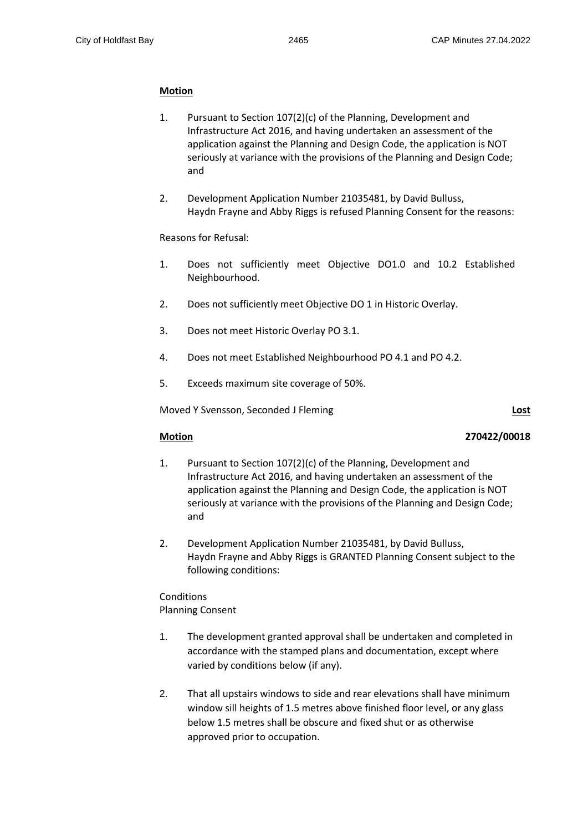# **Motion**

- 1. Pursuant to Section 107(2)(c) of the Planning, Development and Infrastructure Act 2016, and having undertaken an assessment of the application against the Planning and Design Code, the application is NOT seriously at variance with the provisions of the Planning and Design Code; and
- 2. Development Application Number 21035481, by David Bulluss, Haydn Frayne and Abby Riggs is refused Planning Consent for the reasons:

# Reasons for Refusal:

- 1. Does not sufficiently meet Objective DO1.0 and 10.2 Established Neighbourhood.
- 2. Does not sufficiently meet Objective DO 1 in Historic Overlay.
- 3. Does not meet Historic Overlay PO 3.1.
- 4. Does not meet Established Neighbourhood PO 4.1 and PO 4.2.
- 5. Exceeds maximum site coverage of 50%.

Moved Y Svensson, Seconded J Fleming **Lost**

# **Motion 270422/00018**

- 1. Pursuant to Section 107(2)(c) of the Planning, Development and Infrastructure Act 2016, and having undertaken an assessment of the application against the Planning and Design Code, the application is NOT seriously at variance with the provisions of the Planning and Design Code; and
- 2. Development Application Number 21035481, by David Bulluss, Haydn Frayne and Abby Riggs is GRANTED Planning Consent subject to the following conditions:

Conditions Planning Consent

- 1. The development granted approval shall be undertaken and completed in accordance with the stamped plans and documentation, except where varied by conditions below (if any).
- 2. That all upstairs windows to side and rear elevations shall have minimum window sill heights of 1.5 metres above finished floor level, or any glass below 1.5 metres shall be obscure and fixed shut or as otherwise approved prior to occupation.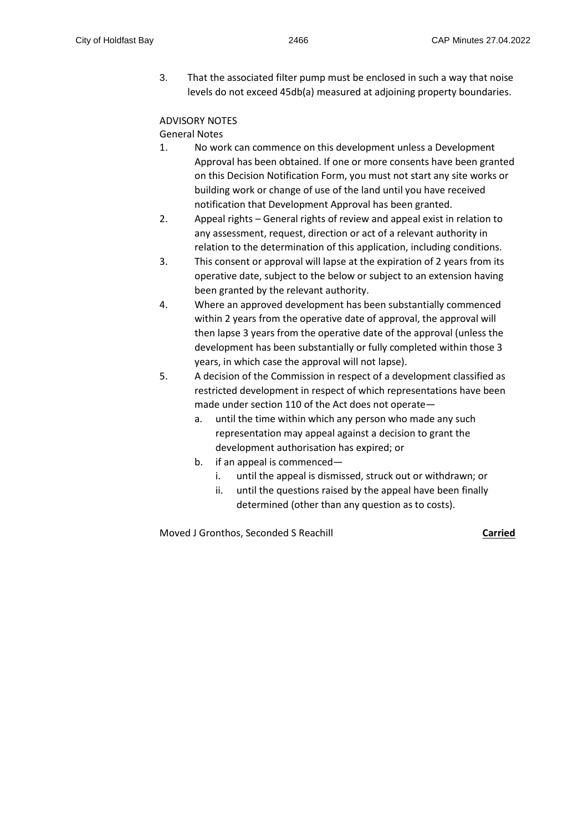3. That the associated filter pump must be enclosed in such a way that noise levels do not exceed 45db(a) measured at adjoining property boundaries.

# ADVISORY NOTES

# General Notes

- 1. No work can commence on this development unless a Development Approval has been obtained. If one or more consents have been granted on this Decision Notification Form, you must not start any site works or building work or change of use of the land until you have received notification that Development Approval has been granted.
- 2. Appeal rights General rights of review and appeal exist in relation to any assessment, request, direction or act of a relevant authority in relation to the determination of this application, including conditions.
- 3. This consent or approval will lapse at the expiration of 2 years from its operative date, subject to the below or subject to an extension having been granted by the relevant authority.
- 4. Where an approved development has been substantially commenced within 2 years from the operative date of approval, the approval will then lapse 3 years from the operative date of the approval (unless the development has been substantially or fully completed within those 3 years, in which case the approval will not lapse).
- 5. A decision of the Commission in respect of a development classified as restricted development in respect of which representations have been made under section 110 of the Act does not operate
	- a. until the time within which any person who made any such representation may appeal against a decision to grant the development authorisation has expired; or
	- b. if an appeal is commenced
		- i. until the appeal is dismissed, struck out or withdrawn; or
		- ii. until the questions raised by the appeal have been finally determined (other than any question as to costs).

Moved J Gronthos, Seconded S Reachill **Carried**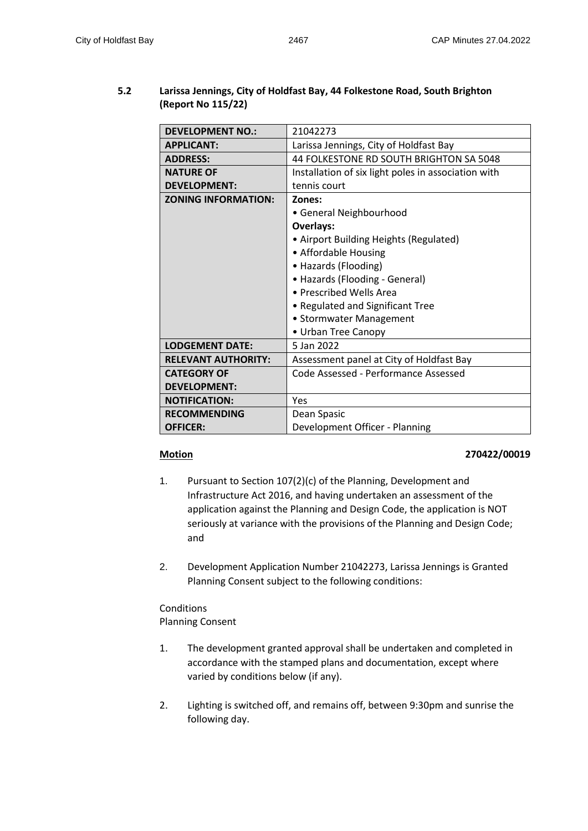# **5.2 Larissa Jennings, City of Holdfast Bay, 44 Folkestone Road, South Brighton (Report No 115/22)**

| <b>DEVELOPMENT NO.:</b>    | 21042273                                            |  |
|----------------------------|-----------------------------------------------------|--|
| <b>APPLICANT:</b>          | Larissa Jennings, City of Holdfast Bay              |  |
| <b>ADDRESS:</b>            | 44 FOLKESTONE RD SOUTH BRIGHTON SA 5048             |  |
| <b>NATURE OF</b>           | Installation of six light poles in association with |  |
| <b>DEVELOPMENT:</b>        | tennis court                                        |  |
| <b>ZONING INFORMATION:</b> | Zones:                                              |  |
|                            | • General Neighbourhood                             |  |
|                            | <b>Overlays:</b>                                    |  |
|                            | • Airport Building Heights (Regulated)              |  |
|                            | • Affordable Housing                                |  |
|                            | • Hazards (Flooding)                                |  |
|                            | • Hazards (Flooding - General)                      |  |
|                            | • Prescribed Wells Area                             |  |
|                            | • Regulated and Significant Tree                    |  |
|                            | • Stormwater Management                             |  |
|                            | • Urban Tree Canopy                                 |  |
| <b>LODGEMENT DATE:</b>     | 5 Jan 2022                                          |  |
| <b>RELEVANT AUTHORITY:</b> | Assessment panel at City of Holdfast Bay            |  |
| <b>CATEGORY OF</b>         | Code Assessed - Performance Assessed                |  |
| <b>DEVELOPMENT:</b>        |                                                     |  |
| <b>NOTIFICATION:</b>       | Yes                                                 |  |
| <b>RECOMMENDING</b>        | Dean Spasic                                         |  |
| <b>OFFICER:</b>            | Development Officer - Planning                      |  |

# **Motion 270422/00019**

- 1. Pursuant to Section 107(2)(c) of the Planning, Development and Infrastructure Act 2016, and having undertaken an assessment of the application against the Planning and Design Code, the application is NOT seriously at variance with the provisions of the Planning and Design Code; and
- 2. Development Application Number 21042273, Larissa Jennings is Granted Planning Consent subject to the following conditions:

Conditions Planning Consent

- 1. The development granted approval shall be undertaken and completed in accordance with the stamped plans and documentation, except where varied by conditions below (if any).
- 2. Lighting is switched off, and remains off, between 9:30pm and sunrise the following day.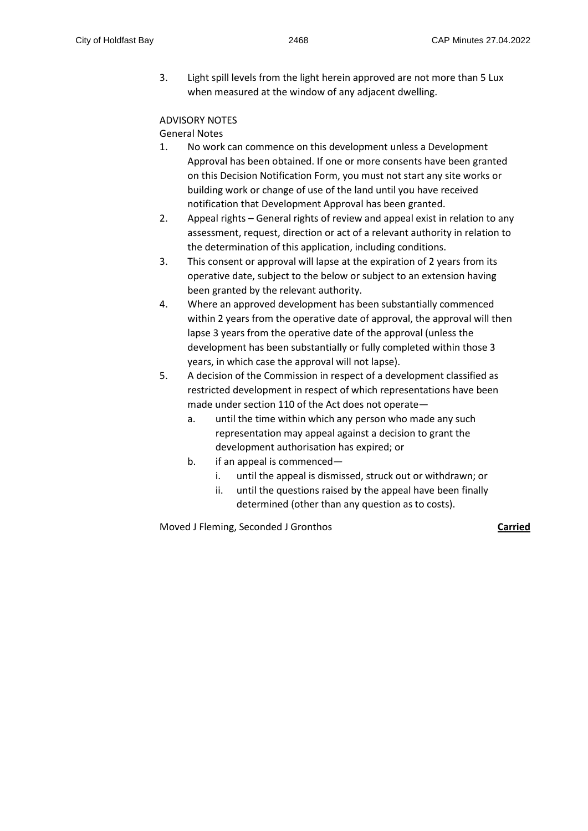3. Light spill levels from the light herein approved are not more than 5 Lux when measured at the window of any adjacent dwelling.

# ADVISORY NOTES

# General Notes

- 1. No work can commence on this development unless a Development Approval has been obtained. If one or more consents have been granted on this Decision Notification Form, you must not start any site works or building work or change of use of the land until you have received notification that Development Approval has been granted.
- 2. Appeal rights General rights of review and appeal exist in relation to any assessment, request, direction or act of a relevant authority in relation to the determination of this application, including conditions.
- 3. This consent or approval will lapse at the expiration of 2 years from its operative date, subject to the below or subject to an extension having been granted by the relevant authority.
- 4. Where an approved development has been substantially commenced within 2 years from the operative date of approval, the approval will then lapse 3 years from the operative date of the approval (unless the development has been substantially or fully completed within those 3 years, in which case the approval will not lapse).
- 5. A decision of the Commission in respect of a development classified as restricted development in respect of which representations have been made under section 110 of the Act does not operate
	- a. until the time within which any person who made any such representation may appeal against a decision to grant the development authorisation has expired; or
	- b. if an appeal is commenced
		- i. until the appeal is dismissed, struck out or withdrawn; or
		- ii. until the questions raised by the appeal have been finally determined (other than any question as to costs).

Moved J Fleming, Seconded J Gronthos **Carried**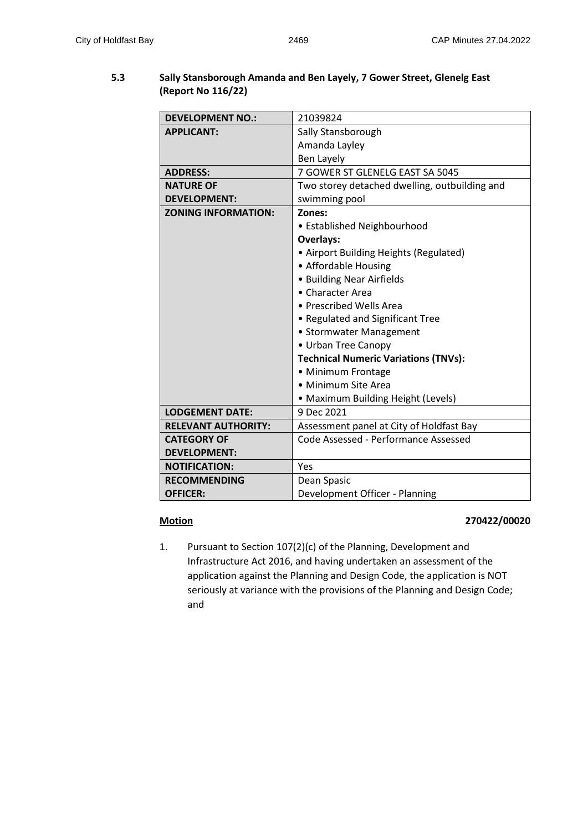# **5.3 Sally Stansborough Amanda and Ben Layely, 7 Gower Street, Glenelg East (Report No 116/22)**

| <b>DEVELOPMENT NO.:</b>    | 21039824                                      |  |
|----------------------------|-----------------------------------------------|--|
| <b>APPLICANT:</b>          | Sally Stansborough                            |  |
|                            | Amanda Layley                                 |  |
|                            | <b>Ben Layely</b>                             |  |
| <b>ADDRESS:</b>            | 7 GOWER ST GLENELG EAST SA 5045               |  |
| <b>NATURE OF</b>           | Two storey detached dwelling, outbuilding and |  |
| <b>DEVELOPMENT:</b>        | swimming pool                                 |  |
| <b>ZONING INFORMATION:</b> | Zones:                                        |  |
|                            | • Established Neighbourhood                   |  |
|                            | <b>Overlays:</b>                              |  |
|                            | • Airport Building Heights (Regulated)        |  |
|                            | • Affordable Housing                          |  |
|                            | • Building Near Airfields                     |  |
|                            | • Character Area                              |  |
|                            | • Prescribed Wells Area                       |  |
|                            | • Regulated and Significant Tree              |  |
|                            | • Stormwater Management                       |  |
|                            | • Urban Tree Canopy                           |  |
|                            | <b>Technical Numeric Variations (TNVs):</b>   |  |
|                            | • Minimum Frontage                            |  |
|                            | • Minimum Site Area                           |  |
|                            | • Maximum Building Height (Levels)            |  |
| <b>LODGEMENT DATE:</b>     | 9 Dec 2021                                    |  |
| <b>RELEVANT AUTHORITY:</b> | Assessment panel at City of Holdfast Bay      |  |
| <b>CATEGORY OF</b>         | Code Assessed - Performance Assessed          |  |
| <b>DEVELOPMENT:</b>        |                                               |  |
| <b>NOTIFICATION:</b>       | Yes                                           |  |
| <b>RECOMMENDING</b>        | Dean Spasic                                   |  |
| <b>OFFICER:</b>            | Development Officer - Planning                |  |

# **Motion 270422/00020**

1. Pursuant to Section 107(2)(c) of the Planning, Development and Infrastructure Act 2016, and having undertaken an assessment of the application against the Planning and Design Code, the application is NOT seriously at variance with the provisions of the Planning and Design Code; and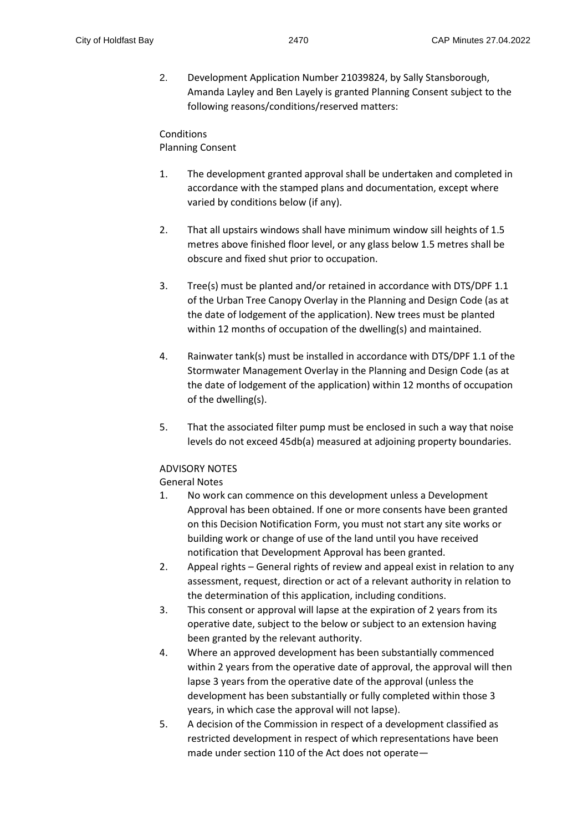2. Development Application Number 21039824, by Sally Stansborough, Amanda Layley and Ben Layely is granted Planning Consent subject to the following reasons/conditions/reserved matters:

Conditions Planning Consent

- 1. The development granted approval shall be undertaken and completed in accordance with the stamped plans and documentation, except where varied by conditions below (if any).
- 2. That all upstairs windows shall have minimum window sill heights of 1.5 metres above finished floor level, or any glass below 1.5 metres shall be obscure and fixed shut prior to occupation.
- 3. Tree(s) must be planted and/or retained in accordance with DTS/DPF 1.1 of the Urban Tree Canopy Overlay in the Planning and Design Code (as at the date of lodgement of the application). New trees must be planted within 12 months of occupation of the dwelling(s) and maintained.
- 4. Rainwater tank(s) must be installed in accordance with DTS/DPF 1.1 of the Stormwater Management Overlay in the Planning and Design Code (as at the date of lodgement of the application) within 12 months of occupation of the dwelling(s).
- 5. That the associated filter pump must be enclosed in such a way that noise levels do not exceed 45db(a) measured at adjoining property boundaries.

# ADVISORY NOTES

# General Notes

- 1. No work can commence on this development unless a Development Approval has been obtained. If one or more consents have been granted on this Decision Notification Form, you must not start any site works or building work or change of use of the land until you have received notification that Development Approval has been granted.
- 2. Appeal rights General rights of review and appeal exist in relation to any assessment, request, direction or act of a relevant authority in relation to the determination of this application, including conditions.
- 3. This consent or approval will lapse at the expiration of 2 years from its operative date, subject to the below or subject to an extension having been granted by the relevant authority.
- 4. Where an approved development has been substantially commenced within 2 years from the operative date of approval, the approval will then lapse 3 years from the operative date of the approval (unless the development has been substantially or fully completed within those 3 years, in which case the approval will not lapse).
- 5. A decision of the Commission in respect of a development classified as restricted development in respect of which representations have been made under section 110 of the Act does not operate—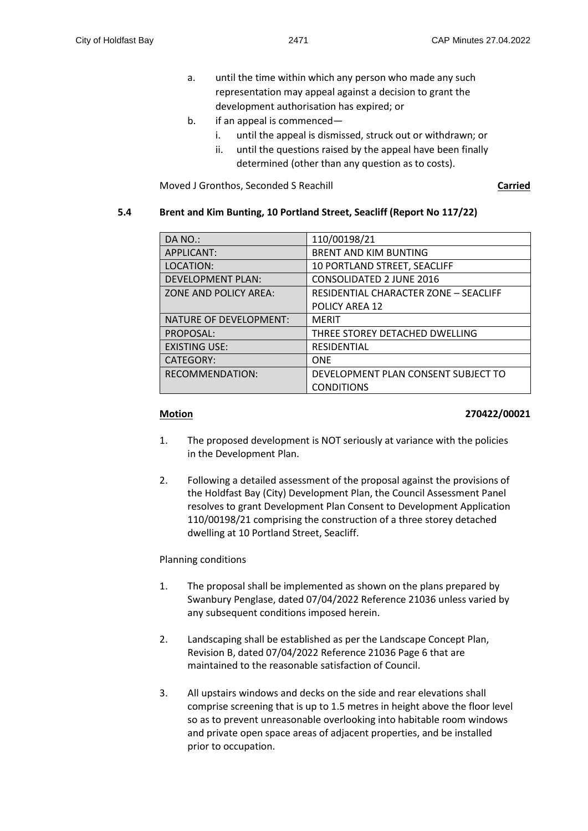- a. until the time within which any person who made any such representation may appeal against a decision to grant the development authorisation has expired; or
- b. if an appeal is commenced
	- i. until the appeal is dismissed, struck out or withdrawn; or
	- ii. until the questions raised by the appeal have been finally determined (other than any question as to costs).

Moved J Gronthos, Seconded S Reachill **Carried**

#### **5.4 Brent and Kim Bunting, 10 Portland Street, Seacliff (Report No 117/22)**

| DA NO.:                  | 110/00198/21                          |
|--------------------------|---------------------------------------|
| APPLICANT:               | <b>BRENT AND KIM BUNTING</b>          |
| LOCATION:                | 10 PORTLAND STREET, SEACLIFF          |
| <b>DEVELOPMENT PLAN:</b> | <b>CONSOLIDATED 2 JUNE 2016</b>       |
| ZONE AND POLICY AREA:    | RESIDENTIAL CHARACTER ZONE - SEACLIFF |
|                          | <b>POLICY AREA 12</b>                 |
| NATURE OF DEVELOPMENT:   | <b>MERIT</b>                          |
| PROPOSAL:                | THREE STOREY DETACHED DWELLING        |
| <b>EXISTING USE:</b>     | <b>RESIDENTIAL</b>                    |
| CATEGORY:                | <b>ONE</b>                            |
| RECOMMENDATION:          | DEVELOPMENT PLAN CONSENT SUBJECT TO   |
|                          | <b>CONDITIONS</b>                     |

#### **Motion 270422/00021**

- 1. The proposed development is NOT seriously at variance with the policies in the Development Plan.
- 2. Following a detailed assessment of the proposal against the provisions of the Holdfast Bay (City) Development Plan, the Council Assessment Panel resolves to grant Development Plan Consent to Development Application 110/00198/21 comprising the construction of a three storey detached dwelling at 10 Portland Street, Seacliff.

#### Planning conditions

- 1. The proposal shall be implemented as shown on the plans prepared by Swanbury Penglase, dated 07/04/2022 Reference 21036 unless varied by any subsequent conditions imposed herein.
- 2. Landscaping shall be established as per the Landscape Concept Plan, Revision B, dated 07/04/2022 Reference 21036 Page 6 that are maintained to the reasonable satisfaction of Council.
- 3. All upstairs windows and decks on the side and rear elevations shall comprise screening that is up to 1.5 metres in height above the floor level so as to prevent unreasonable overlooking into habitable room windows and private open space areas of adjacent properties, and be installed prior to occupation.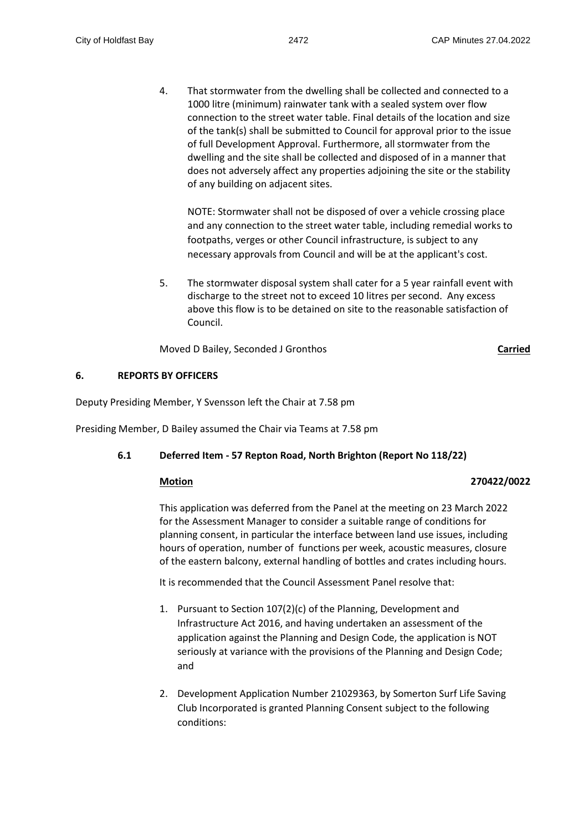4. That stormwater from the dwelling shall be collected and connected to a 1000 litre (minimum) rainwater tank with a sealed system over flow connection to the street water table. Final details of the location and size of the tank(s) shall be submitted to Council for approval prior to the issue of full Development Approval. Furthermore, all stormwater from the dwelling and the site shall be collected and disposed of in a manner that does not adversely affect any properties adjoining the site or the stability of any building on adjacent sites.

NOTE: Stormwater shall not be disposed of over a vehicle crossing place and any connection to the street water table, including remedial works to footpaths, verges or other Council infrastructure, is subject to any necessary approvals from Council and will be at the applicant's cost.

5. The stormwater disposal system shall cater for a 5 year rainfall event with discharge to the street not to exceed 10 litres per second. Any excess above this flow is to be detained on site to the reasonable satisfaction of Council.

Moved D Bailey, Seconded J Gronthos **Carried**

#### **6. REPORTS BY OFFICERS**

Deputy Presiding Member, Y Svensson left the Chair at 7.58 pm

Presiding Member, D Bailey assumed the Chair via Teams at 7.58 pm

# **6.1 Deferred Item - 57 Repton Road, North Brighton (Report No 118/22)**

#### **Motion 270422/0022**

This application was deferred from the Panel at the meeting on 23 March 2022 for the Assessment Manager to consider a suitable range of conditions for planning consent, in particular the interface between land use issues, including hours of operation, number of functions per week, acoustic measures, closure of the eastern balcony, external handling of bottles and crates including hours.

It is recommended that the Council Assessment Panel resolve that:

- 1. Pursuant to Section 107(2)(c) of the Planning, Development and Infrastructure Act 2016, and having undertaken an assessment of the application against the Planning and Design Code, the application is NOT seriously at variance with the provisions of the Planning and Design Code; and
- 2. Development Application Number 21029363, by Somerton Surf Life Saving Club Incorporated is granted Planning Consent subject to the following conditions: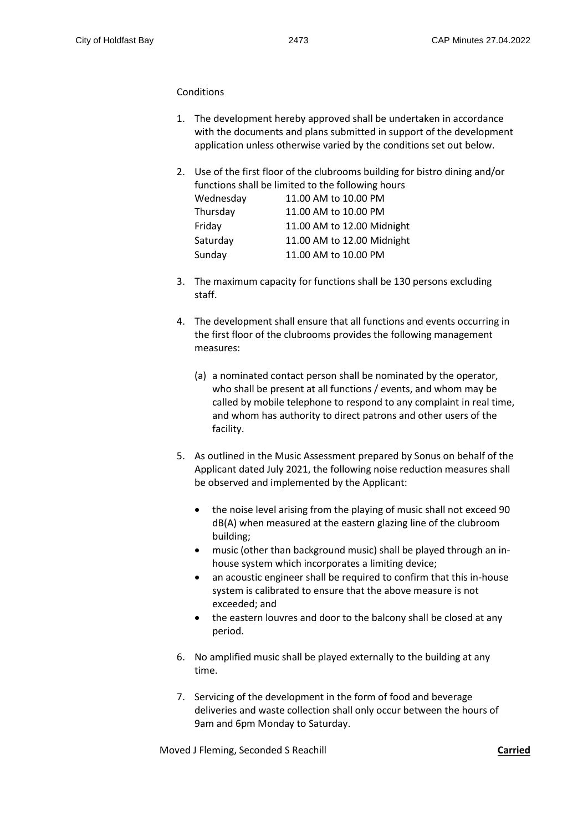#### **Conditions**

- 1. The development hereby approved shall be undertaken in accordance with the documents and plans submitted in support of the development application unless otherwise varied by the conditions set out below.
- 2. Use of the first floor of the clubrooms building for bistro dining and/or functions shall be limited to the following hours

|           | functions shall be limited to the following hours |
|-----------|---------------------------------------------------|
| Wednesday | 11.00 AM to 10.00 PM                              |
| Thursday  | 11.00 AM to 10.00 PM                              |
| Friday    | 11.00 AM to 12.00 Midnight                        |
| Saturday  | 11.00 AM to 12.00 Midnight                        |
| Sunday    | 11.00 AM to 10.00 PM                              |
|           |                                                   |

- 3. The maximum capacity for functions shall be 130 persons excluding staff.
- 4. The development shall ensure that all functions and events occurring in the first floor of the clubrooms provides the following management measures:
	- (a) a nominated contact person shall be nominated by the operator, who shall be present at all functions / events, and whom may be called by mobile telephone to respond to any complaint in real time, and whom has authority to direct patrons and other users of the facility.
- 5. As outlined in the Music Assessment prepared by Sonus on behalf of the Applicant dated July 2021, the following noise reduction measures shall be observed and implemented by the Applicant:
	- the noise level arising from the playing of music shall not exceed 90 dB(A) when measured at the eastern glazing line of the clubroom building;
	- music (other than background music) shall be played through an inhouse system which incorporates a limiting device;
	- an acoustic engineer shall be required to confirm that this in-house system is calibrated to ensure that the above measure is not exceeded; and
	- the eastern louvres and door to the balcony shall be closed at any period.
- 6. No amplified music shall be played externally to the building at any time.
- 7. Servicing of the development in the form of food and beverage deliveries and waste collection shall only occur between the hours of 9am and 6pm Monday to Saturday.

Moved J Fleming, Seconded S Reachill **Carried**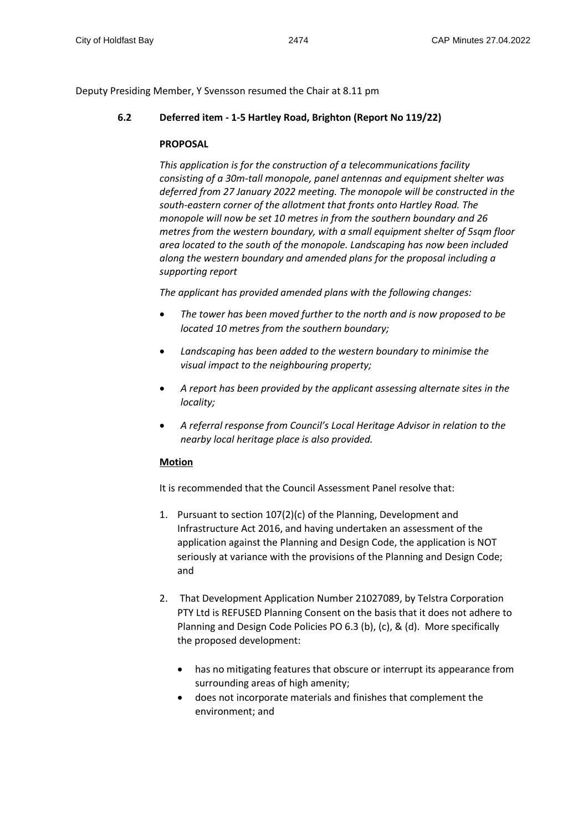Deputy Presiding Member, Y Svensson resumed the Chair at 8.11 pm

# **6.2 Deferred item - 1-5 Hartley Road, Brighton (Report No 119/22)**

#### **PROPOSAL**

*This application is for the construction of a telecommunications facility consisting of a 30m-tall monopole, panel antennas and equipment shelter was deferred from 27 January 2022 meeting. The monopole will be constructed in the south-eastern corner of the allotment that fronts onto Hartley Road. The monopole will now be set 10 metres in from the southern boundary and 26 metres from the western boundary, with a small equipment shelter of 5sqm floor area located to the south of the monopole. Landscaping has now been included along the western boundary and amended plans for the proposal including a supporting report*

*The applicant has provided amended plans with the following changes:*

- *The tower has been moved further to the north and is now proposed to be located 10 metres from the southern boundary;*
- *Landscaping has been added to the western boundary to minimise the visual impact to the neighbouring property;*
- *A report has been provided by the applicant assessing alternate sites in the locality;*
- *A referral response from Council's Local Heritage Advisor in relation to the nearby local heritage place is also provided.*

# **Motion**

It is recommended that the Council Assessment Panel resolve that:

- 1. Pursuant to section 107(2)(c) of the Planning, Development and Infrastructure Act 2016, and having undertaken an assessment of the application against the Planning and Design Code, the application is NOT seriously at variance with the provisions of the Planning and Design Code; and
- 2. That Development Application Number 21027089, by Telstra Corporation PTY Ltd is REFUSED Planning Consent on the basis that it does not adhere to Planning and Design Code Policies PO 6.3 (b), (c), & (d). More specifically the proposed development:
	- has no mitigating features that obscure or interrupt its appearance from surrounding areas of high amenity;
	- does not incorporate materials and finishes that complement the environment; and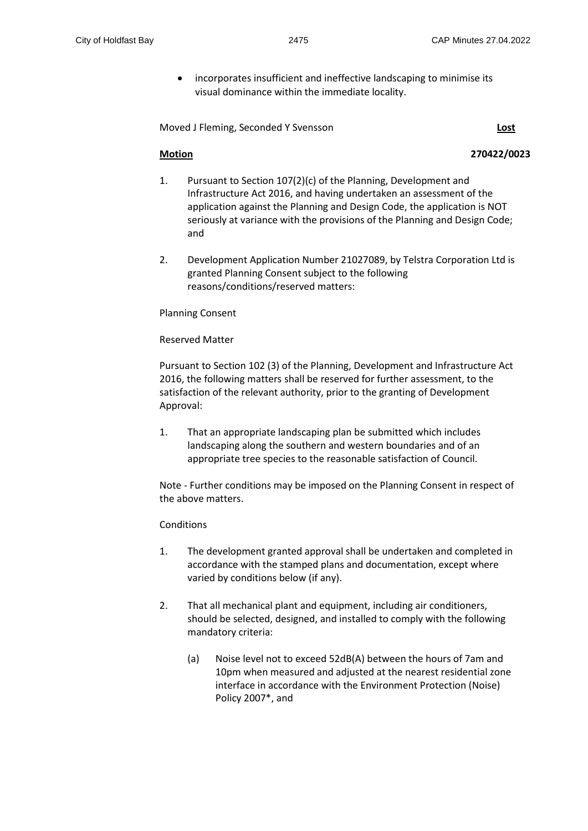incorporates insufficient and ineffective landscaping to minimise its visual dominance within the immediate locality.

Moved J Fleming, Seconded Y Svensson **Lost**

### **Motion 270422/0023**

- 1. Pursuant to Section 107(2)(c) of the Planning, Development and Infrastructure Act 2016, and having undertaken an assessment of the application against the Planning and Design Code, the application is NOT seriously at variance with the provisions of the Planning and Design Code; and
- 2. Development Application Number 21027089, by Telstra Corporation Ltd is granted Planning Consent subject to the following reasons/conditions/reserved matters:

Planning Consent

Reserved Matter

Pursuant to Section 102 (3) of the Planning, Development and Infrastructure Act 2016, the following matters shall be reserved for further assessment, to the satisfaction of the relevant authority, prior to the granting of Development Approval:

1. That an appropriate landscaping plan be submitted which includes landscaping along the southern and western boundaries and of an appropriate tree species to the reasonable satisfaction of Council.

Note - Further conditions may be imposed on the Planning Consent in respect of the above matters.

### Conditions

- 1. The development granted approval shall be undertaken and completed in accordance with the stamped plans and documentation, except where varied by conditions below (if any).
- 2. That all mechanical plant and equipment, including air conditioners, should be selected, designed, and installed to comply with the following mandatory criteria:
	- (a) Noise level not to exceed 52dB(A) between the hours of 7am and 10pm when measured and adjusted at the nearest residential zone interface in accordance with the Environment Protection (Noise) Policy 2007\*, and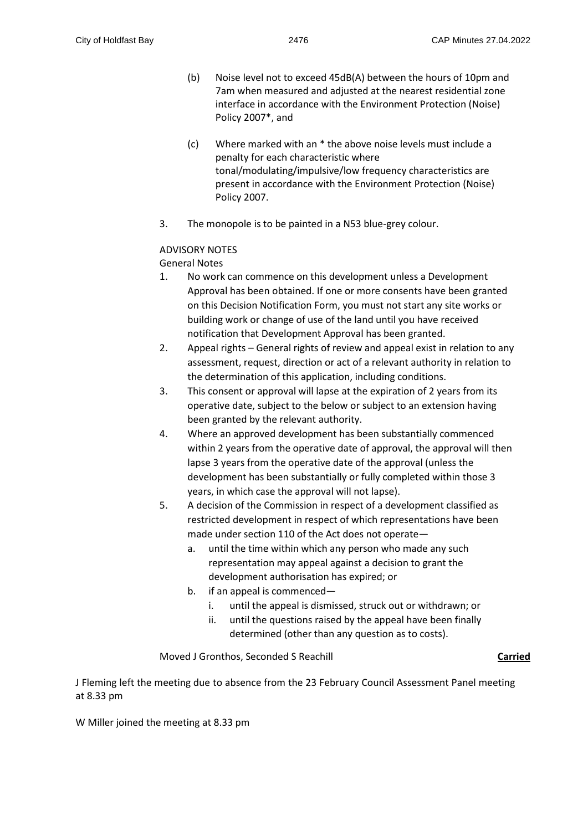- (b) Noise level not to exceed 45dB(A) between the hours of 10pm and 7am when measured and adjusted at the nearest residential zone interface in accordance with the Environment Protection (Noise) Policy 2007\*, and
- (c) Where marked with an \* the above noise levels must include a penalty for each characteristic where tonal/modulating/impulsive/low frequency characteristics are present in accordance with the Environment Protection (Noise) Policy 2007.
- 3. The monopole is to be painted in a N53 blue-grey colour.

# ADVISORY NOTES

General Notes

- 1. No work can commence on this development unless a Development Approval has been obtained. If one or more consents have been granted on this Decision Notification Form, you must not start any site works or building work or change of use of the land until you have received notification that Development Approval has been granted.
- 2. Appeal rights General rights of review and appeal exist in relation to any assessment, request, direction or act of a relevant authority in relation to the determination of this application, including conditions.
- 3. This consent or approval will lapse at the expiration of 2 years from its operative date, subject to the below or subject to an extension having been granted by the relevant authority.
- 4. Where an approved development has been substantially commenced within 2 years from the operative date of approval, the approval will then lapse 3 years from the operative date of the approval (unless the development has been substantially or fully completed within those 3 years, in which case the approval will not lapse).
- 5. A decision of the Commission in respect of a development classified as restricted development in respect of which representations have been made under section 110 of the Act does not operate
	- a. until the time within which any person who made any such representation may appeal against a decision to grant the development authorisation has expired; or
	- b. if an appeal is commenced
		- i. until the appeal is dismissed, struck out or withdrawn; or
		- ii. until the questions raised by the appeal have been finally determined (other than any question as to costs).

Moved J Gronthos, Seconded S Reachill **Carried**

J Fleming left the meeting due to absence from the 23 February Council Assessment Panel meeting at 8.33 pm

W Miller joined the meeting at 8.33 pm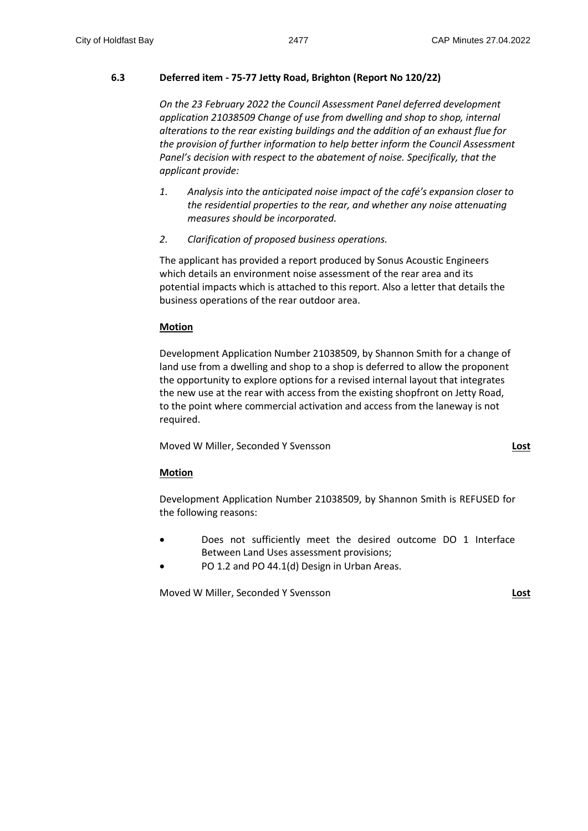# **6.3 Deferred item - 75-77 Jetty Road, Brighton (Report No 120/22)**

*On the 23 February 2022 the Council Assessment Panel deferred development application 21038509 Change of use from dwelling and shop to shop, internal alterations to the rear existing buildings and the addition of an exhaust flue for the provision of further information to help better inform the Council Assessment Panel's decision with respect to the abatement of noise. Specifically, that the applicant provide:* 

- *1. Analysis into the anticipated noise impact of the café's expansion closer to the residential properties to the rear, and whether any noise attenuating measures should be incorporated.*
- *2. Clarification of proposed business operations.*

The applicant has provided a report produced by Sonus Acoustic Engineers which details an environment noise assessment of the rear area and its potential impacts which is attached to this report. Also a letter that details the business operations of the rear outdoor area.

#### **Motion**

Development Application Number 21038509, by Shannon Smith for a change of land use from a dwelling and shop to a shop is deferred to allow the proponent the opportunity to explore options for a revised internal layout that integrates the new use at the rear with access from the existing shopfront on Jetty Road, to the point where commercial activation and access from the laneway is not required.

Moved W Miller, Seconded Y Svensson **Lost**

# **Motion**

Development Application Number 21038509, by Shannon Smith is REFUSED for the following reasons:

- Does not sufficiently meet the desired outcome DO 1 Interface Between Land Uses assessment provisions;
- PO 1.2 and PO 44.1(d) Design in Urban Areas.

Moved W Miller, Seconded Y Svensson **Lost**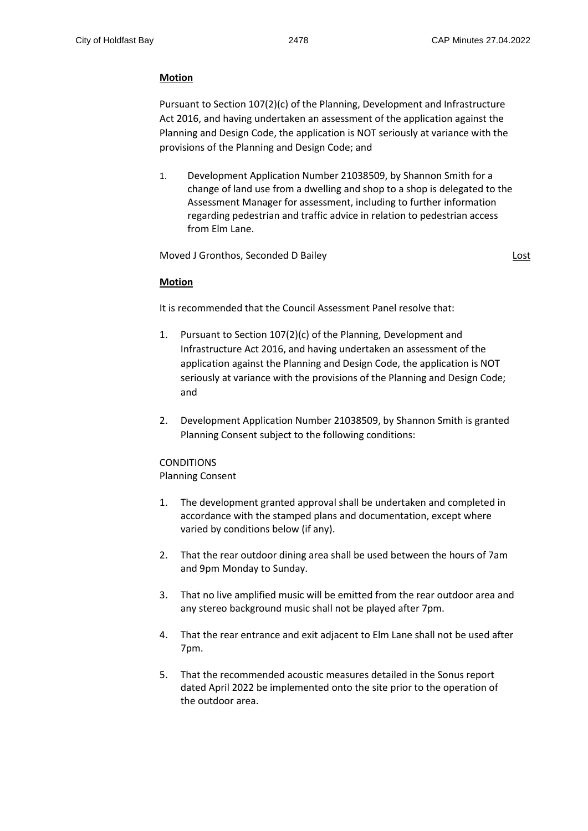### **Motion**

Pursuant to Section 107(2)(c) of the Planning, Development and Infrastructure Act 2016, and having undertaken an assessment of the application against the Planning and Design Code, the application is NOT seriously at variance with the provisions of the Planning and Design Code; and

1. Development Application Number 21038509, by Shannon Smith for a change of land use from a dwelling and shop to a shop is delegated to the Assessment Manager for assessment, including to further information regarding pedestrian and traffic advice in relation to pedestrian access from Elm Lane.

Moved J Gronthos, Seconded D Bailey **Lost and American Constantine Constantine Constantine Constantine Constantine Constantine Constantine Constantine Constantine Constantine Constantine Constantine Constantine Constantine** 

#### **Motion**

It is recommended that the Council Assessment Panel resolve that:

- 1. Pursuant to Section 107(2)(c) of the Planning, Development and Infrastructure Act 2016, and having undertaken an assessment of the application against the Planning and Design Code, the application is NOT seriously at variance with the provisions of the Planning and Design Code; and
- 2. Development Application Number 21038509, by Shannon Smith is granted Planning Consent subject to the following conditions:

# CONDITIONS

- Planning Consent
- 1. The development granted approval shall be undertaken and completed in accordance with the stamped plans and documentation, except where varied by conditions below (if any).
- 2. That the rear outdoor dining area shall be used between the hours of 7am and 9pm Monday to Sunday.
- 3. That no live amplified music will be emitted from the rear outdoor area and any stereo background music shall not be played after 7pm.
- 4. That the rear entrance and exit adjacent to Elm Lane shall not be used after 7pm.
- 5. That the recommended acoustic measures detailed in the Sonus report dated April 2022 be implemented onto the site prior to the operation of the outdoor area.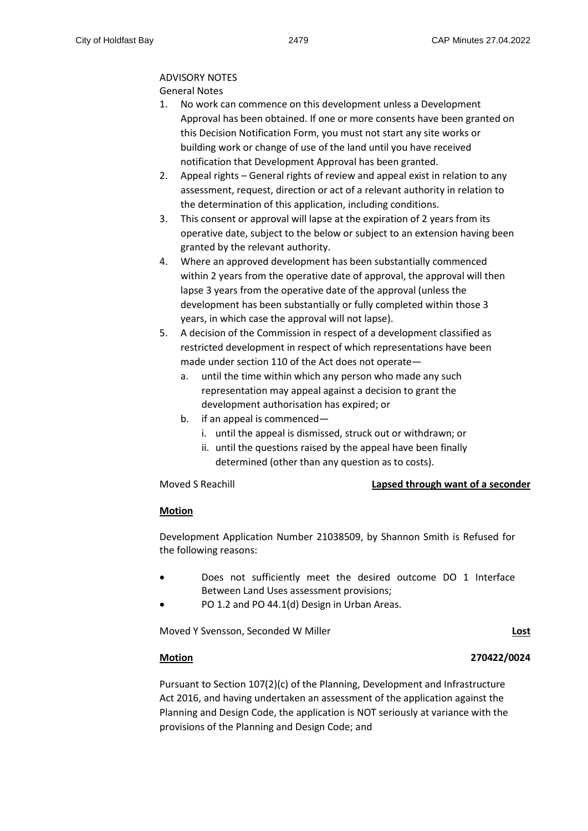### ADVISORY NOTES

General Notes

- 1. No work can commence on this development unless a Development Approval has been obtained. If one or more consents have been granted on this Decision Notification Form, you must not start any site works or building work or change of use of the land until you have received notification that Development Approval has been granted.
- 2. Appeal rights General rights of review and appeal exist in relation to any assessment, request, direction or act of a relevant authority in relation to the determination of this application, including conditions.
- 3. This consent or approval will lapse at the expiration of 2 years from its operative date, subject to the below or subject to an extension having been granted by the relevant authority.
- 4. Where an approved development has been substantially commenced within 2 years from the operative date of approval, the approval will then lapse 3 years from the operative date of the approval (unless the development has been substantially or fully completed within those 3 years, in which case the approval will not lapse).
- 5. A decision of the Commission in respect of a development classified as restricted development in respect of which representations have been made under section 110 of the Act does not operate
	- a. until the time within which any person who made any such representation may appeal against a decision to grant the development authorisation has expired; or
	- b. if an appeal is commenced
		- i. until the appeal is dismissed, struck out or withdrawn; or
		- ii. until the questions raised by the appeal have been finally determined (other than any question as to costs).

# Moved S Reachill **Lapsed through want of a seconder**

# **Motion**

Development Application Number 21038509, by Shannon Smith is Refused for the following reasons:

- Does not sufficiently meet the desired outcome DO 1 Interface Between Land Uses assessment provisions;
- PO 1.2 and PO 44.1(d) Design in Urban Areas.

Moved Y Svensson, Seconded W Miller **Lost**

# **Motion 270422/0024**

Pursuant to Section 107(2)(c) of the Planning, Development and Infrastructure Act 2016, and having undertaken an assessment of the application against the Planning and Design Code, the application is NOT seriously at variance with the provisions of the Planning and Design Code; and